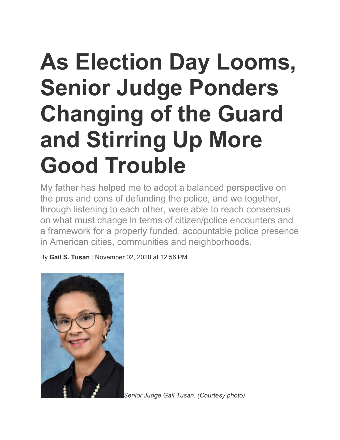## **As Election Day Looms, Senior Judge Ponders Changing of the Guard and Stirring Up More Good Trouble**

My father has helped me to adopt a balanced perspective on the pros and cons of defunding the police, and we together, through listening to each other, were able to reach consensus on what must change in terms of citizen/police encounters and a framework for a properly funded, accountable police presence in American cities, communities and neighborhoods.

By **Gail S. Tusan** | November 02, 2020 at 12:56 PM



*Senior Judge Gail Tusan. (Courtesy photo)*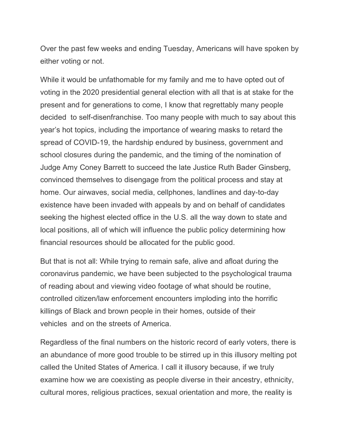Over the past few weeks and ending Tuesday, Americans will have spoken by either voting or not.

While it would be unfathomable for my family and me to have opted out of voting in the 2020 presidential general election with all that is at stake for the present and for generations to come, I know that regrettably many people decided to self-disenfranchise. Too many people with much to say about this year's hot topics, including the importance of wearing masks to retard the spread of COVID-19, the hardship endured by business, government and school closures during the pandemic, and the timing of the nomination of Judge Amy Coney Barrett to succeed the late Justice Ruth Bader Ginsberg, convinced themselves to disengage from the political process and stay at home. Our airwaves, social media, cellphones, landlines and day-to-day existence have been invaded with appeals by and on behalf of candidates seeking the highest elected office in the U.S. all the way down to state and local positions, all of which will influence the public policy determining how financial resources should be allocated for the public good.

But that is not all: While trying to remain safe, alive and afloat during the coronavirus pandemic, we have been subjected to the psychological trauma of reading about and viewing video footage of what should be routine, controlled citizen/law enforcement encounters imploding into the horrific killings of Black and brown people in their homes, outside of their vehicles and on the streets of America.

Regardless of the final numbers on the historic record of early voters, there is an abundance of more good trouble to be stirred up in this illusory melting pot called the United States of America. I call it illusory because, if we truly examine how we are coexisting as people diverse in their ancestry, ethnicity, cultural mores, religious practices, sexual orientation and more, the reality is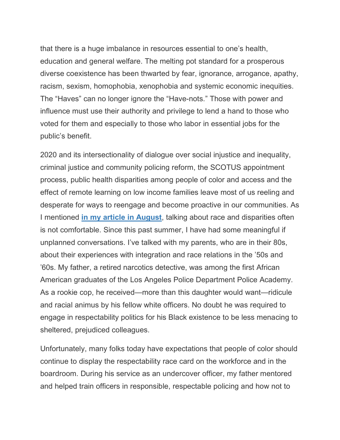that there is a huge imbalance in resources essential to one's health, education and general welfare. The melting pot standard for a prosperous diverse coexistence has been thwarted by fear, ignorance, arrogance, apathy, racism, sexism, homophobia, xenophobia and systemic economic inequities. The "Haves" can no longer ignore the "Have-nots." Those with power and influence must use their authority and privilege to lend a hand to those who voted for them and especially to those who labor in essential jobs for the public's benefit.

2020 and its intersectionality of dialogue over social injustice and inequality, criminal justice and community policing reform, the SCOTUS appointment process, public health disparities among people of color and access and the effect of remote learning on low income families leave most of us reeling and desperate for ways to reengage and become proactive in our communities. As I mentioned **in my article in August**, talking about race and disparities often is not comfortable. Since this past summer, I have had some meaningful if unplanned conversations. I've talked with my parents, who are in their 80s, about their experiences with integration and race relations in the '50s and '60s. My father, a retired narcotics detective, was among the first African American graduates of the Los Angeles Police Department Police Academy. As a rookie cop, he received—more than this daughter would want—ridicule and racial animus by his fellow white officers. No doubt he was required to engage in respectability politics for his Black existence to be less menacing to sheltered, prejudiced colleagues.

Unfortunately, many folks today have expectations that people of color should continue to display the respectability race card on the workforce and in the boardroom. During his service as an undercover officer, my father mentored and helped train officers in responsible, respectable policing and how not to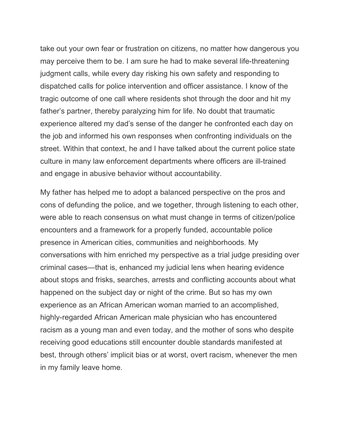take out your own fear or frustration on citizens, no matter how dangerous you may perceive them to be. I am sure he had to make several life-threatening judgment calls, while every day risking his own safety and responding to dispatched calls for police intervention and officer assistance. I know of the tragic outcome of one call where residents shot through the door and hit my father's partner, thereby paralyzing him for life. No doubt that traumatic experience altered my dad's sense of the danger he confronted each day on the job and informed his own responses when confronting individuals on the street. Within that context, he and I have talked about the current police state culture in many law enforcement departments where officers are ill-trained and engage in abusive behavior without accountability.

My father has helped me to adopt a balanced perspective on the pros and cons of defunding the police, and we together, through listening to each other, were able to reach consensus on what must change in terms of citizen/police encounters and a framework for a properly funded, accountable police presence in American cities, communities and neighborhoods. My conversations with him enriched my perspective as a trial judge presiding over criminal cases—that is, enhanced my judicial lens when hearing evidence about stops and frisks, searches, arrests and conflicting accounts about what happened on the subject day or night of the crime. But so has my own experience as an African American woman married to an accomplished, highly-regarded African American male physician who has encountered racism as a young man and even today, and the mother of sons who despite receiving good educations still encounter double standards manifested at best, through others' implicit bias or at worst, overt racism, whenever the men in my family leave home.